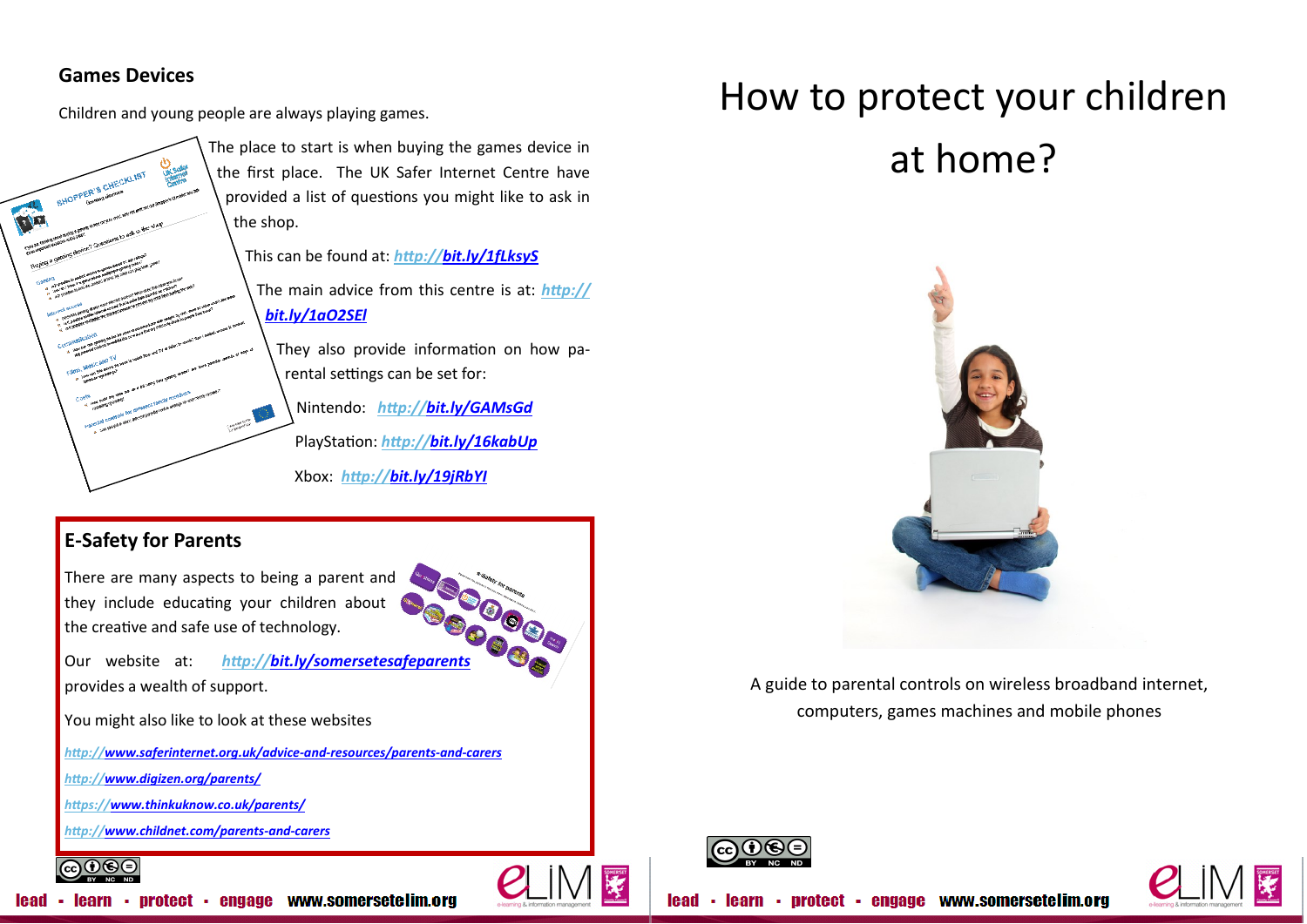### **Games Devices**

Children and young people are always playing games.



The place to start is when buying the games device in the first place. The UK Safer Internet Centre have provided a list of questions you might like to ask in the shop.

This can be found at: *<http://bit.ly/1fLksyS>* The main advice from this centre is at: *[http://](http://bit.ly/1aO2SEl)*

# *[bit.ly/1aO2SEl](http://bit.ly/1aO2SEl)*

They also provide information on how parental settings can be set for:

Nintendo: *<http://bit.ly/GAMsGd>* PlayStation: *<http://bit.ly/16kabUp>* Xbox: *<http://bit.ly/19jRbYI>*

# **E-Safety for Parents**

There are many aspects to being a parent and they include educating your children about the creative and safe use of technology.

Our website at: *<http://bit.ly/somersetesafeparents>* provides a wealth of support.

You might also like to look at these websites

*[http://www.saferinternet.org.uk/advice](http://www.saferinternet.org.uk/advice-and-resources/parents-and-carers)-and-resources/parents-and-carers*

*<http://www.digizen.org/parents/>*

*<https://www.thinkuknow.co.uk/parents/>*

*[http://www.childnet.com/parents](ttp://www.childnet.com/parents-and-carers)-and-carers*



# How to protect your children at home?

A guide to parental controls on wireless broadband internet, computers, games machines and mobile phones





lead · learn · protect · engage www.somersetelim.org